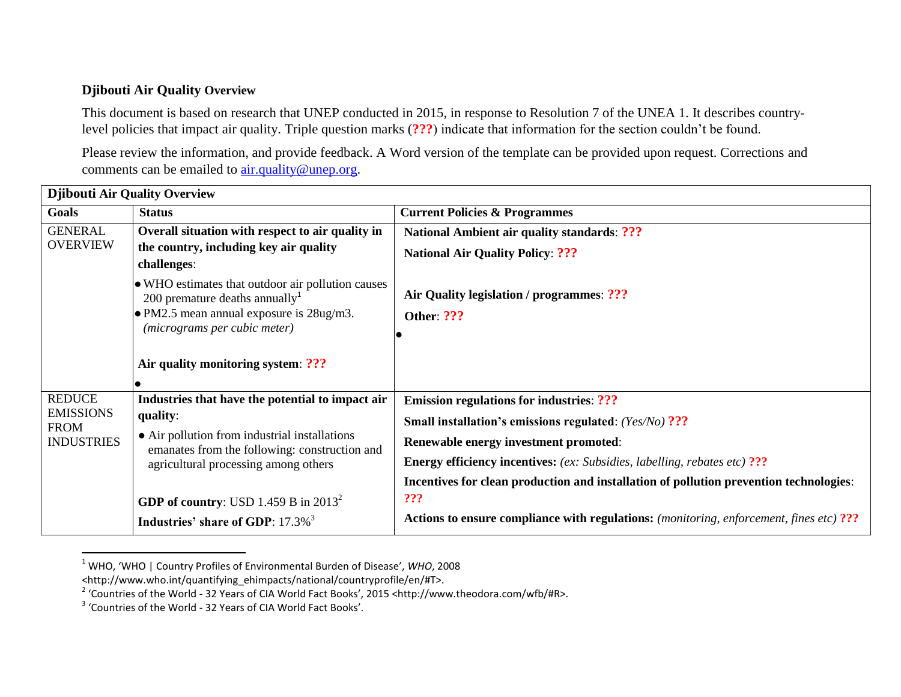## **Djibouti Air Quality Overview**

This document is based on research that UNEP conducted in 2015, in response to Resolution 7 of the UNEA 1. It describes countrylevel policies that impact air quality. Triple question marks (**???**) indicate that information for the section couldn't be found.

Please review the information, and provide feedback. A Word version of the template can be provided upon request. Corrections and comments can be emailed to  $\frac{\text{air.quality}}{\text{w.}}$  and  $\frac{\text{num.}}{\text{w.}}$ 

| <b>Djibouti Air Quality Overview</b>                                  |                                                                                                |                                                                                                |  |
|-----------------------------------------------------------------------|------------------------------------------------------------------------------------------------|------------------------------------------------------------------------------------------------|--|
| Goals                                                                 | <b>Status</b>                                                                                  | <b>Current Policies &amp; Programmes</b>                                                       |  |
| <b>GENERAL</b><br><b>OVERVIEW</b>                                     | Overall situation with respect to air quality in                                               | <b>National Ambient air quality standards: ???</b>                                             |  |
|                                                                       | the country, including key air quality<br>challenges:                                          | <b>National Air Quality Policy: ???</b>                                                        |  |
|                                                                       | • WHO estimates that outdoor air pollution causes<br>200 premature deaths annually $1$         | Air Quality legislation / programmes: ???                                                      |  |
|                                                                       | • PM2.5 mean annual exposure is 28ug/m3.<br>(micrograms per cubic meter)                       | Other: ???                                                                                     |  |
|                                                                       | Air quality monitoring system: ???                                                             |                                                                                                |  |
| <b>REDUCE</b><br><b>EMISSIONS</b><br><b>FROM</b><br><b>INDUSTRIES</b> | Industries that have the potential to impact air                                               | <b>Emission regulations for industries: ???</b>                                                |  |
|                                                                       | quality:                                                                                       | <b>Small installation's emissions regulated:</b> (Yes/No) ???                                  |  |
|                                                                       | • Air pollution from industrial installations<br>emanates from the following: construction and | Renewable energy investment promoted:                                                          |  |
|                                                                       | agricultural processing among others                                                           | <b>Energy efficiency incentives:</b> (ex: Subsidies, labelling, rebates etc) ???               |  |
|                                                                       |                                                                                                | Incentives for clean production and installation of pollution prevention technologies:         |  |
|                                                                       | <b>GDP of country:</b> USD 1.459 B in $2013^2$                                                 | ???                                                                                            |  |
|                                                                       | Industries' share of GDP: 17.3% <sup>3</sup>                                                   | <b>Actions to ensure compliance with regulations:</b> (monitoring, enforcement, fines etc) ??? |  |

<sup>1</sup> WHO, 'WHO | Country Profiles of Environmental Burden of Disease', *WHO*, 2008

 $\overline{a}$ 

<sup>&</sup>lt;http://www.who.int/quantifying\_ehimpacts/national/countryprofile/en/#T>.

<sup>&</sup>lt;sup>2</sup> 'Countries of the World - 32 Years of CIA World Fact Books', 2015 <http://www.theodora.com/wfb/#R>.

<sup>&</sup>lt;sup>3</sup> 'Countries of the World - 32 Years of CIA World Fact Books'.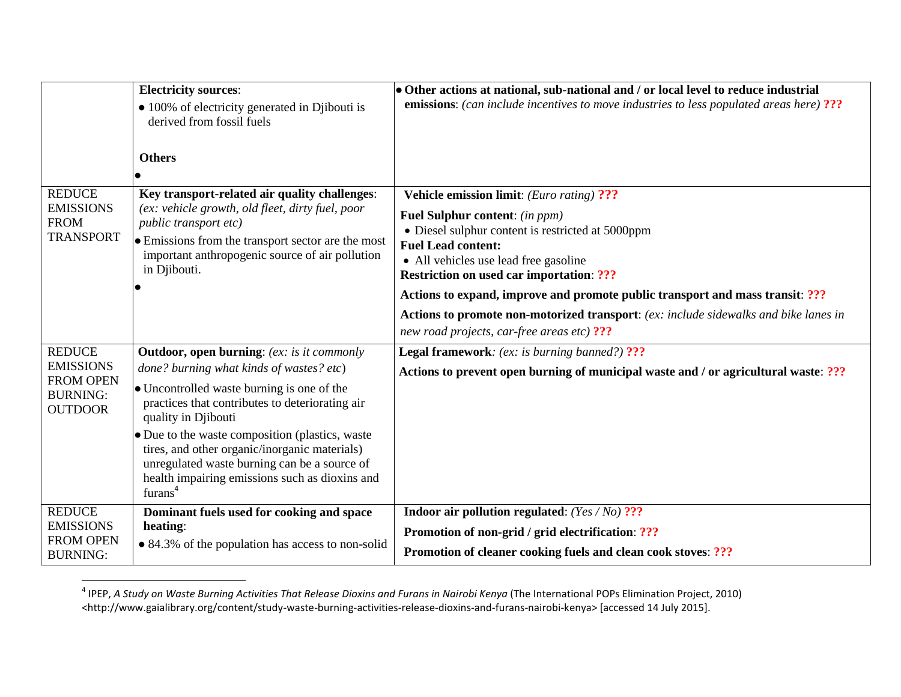|                                                                                            | <b>Electricity sources:</b>                                                                                                                                                                                                                                          | • Other actions at national, sub-national and / or local level to reduce industrial                                                                                                                                                                              |
|--------------------------------------------------------------------------------------------|----------------------------------------------------------------------------------------------------------------------------------------------------------------------------------------------------------------------------------------------------------------------|------------------------------------------------------------------------------------------------------------------------------------------------------------------------------------------------------------------------------------------------------------------|
|                                                                                            | • 100% of electricity generated in Djibouti is<br>derived from fossil fuels                                                                                                                                                                                          | <b>emissions:</b> (can include incentives to move industries to less populated areas here) ???                                                                                                                                                                   |
| <b>REDUCE</b><br><b>EMISSIONS</b><br><b>FROM</b><br><b>TRANSPORT</b>                       | <b>Others</b><br>Key transport-related air quality challenges:<br>(ex: vehicle growth, old fleet, dirty fuel, poor<br>public transport etc)<br>• Emissions from the transport sector are the most<br>important anthropogenic source of air pollution<br>in Djibouti. | <b>Vehicle emission limit:</b> (Euro rating) ???<br>Fuel Sulphur content: (in ppm)<br>• Diesel sulphur content is restricted at 5000ppm<br><b>Fuel Lead content:</b><br>• All vehicles use lead free gasoline<br><b>Restriction on used car importation: ???</b> |
|                                                                                            |                                                                                                                                                                                                                                                                      | Actions to expand, improve and promote public transport and mass transit: ???<br>Actions to promote non-motorized transport: (ex: include sidewalks and bike lanes in<br>new road projects, car-free areas etc) ???                                              |
| <b>REDUCE</b><br><b>EMISSIONS</b><br><b>FROM OPEN</b><br><b>BURNING:</b><br><b>OUTDOOR</b> | <b>Outdoor, open burning:</b> (ex: is it commonly                                                                                                                                                                                                                    | Legal framework: (ex: is burning banned?) ???                                                                                                                                                                                                                    |
|                                                                                            | done? burning what kinds of wastes? etc)                                                                                                                                                                                                                             | Actions to prevent open burning of municipal waste and / or agricultural waste: ???                                                                                                                                                                              |
|                                                                                            | • Uncontrolled waste burning is one of the<br>practices that contributes to deteriorating air<br>quality in Djibouti                                                                                                                                                 |                                                                                                                                                                                                                                                                  |
|                                                                                            | • Due to the waste composition (plastics, waste<br>tires, and other organic/inorganic materials)<br>unregulated waste burning can be a source of<br>health impairing emissions such as dioxins and<br>furans <sup>4</sup>                                            |                                                                                                                                                                                                                                                                  |
| <b>REDUCE</b>                                                                              | Dominant fuels used for cooking and space                                                                                                                                                                                                                            | Indoor air pollution regulated: $(Yes/No)$ ???                                                                                                                                                                                                                   |
| <b>EMISSIONS</b><br><b>FROM OPEN</b>                                                       | heating:                                                                                                                                                                                                                                                             | Promotion of non-grid / grid electrification: ???                                                                                                                                                                                                                |
| <b>BURNING:</b>                                                                            | • 84.3% of the population has access to non-solid                                                                                                                                                                                                                    | Promotion of cleaner cooking fuels and clean cook stoves: ???                                                                                                                                                                                                    |

 4 IPEP, *A Study on Waste Burning Activities That Release Dioxins and Furans in Nairobi Kenya* (The International POPs Elimination Project, 2010) <http://www.gaialibrary.org/content/study-waste-burning-activities-release-dioxins-and-furans-nairobi-kenya> [accessed 14 July 2015].